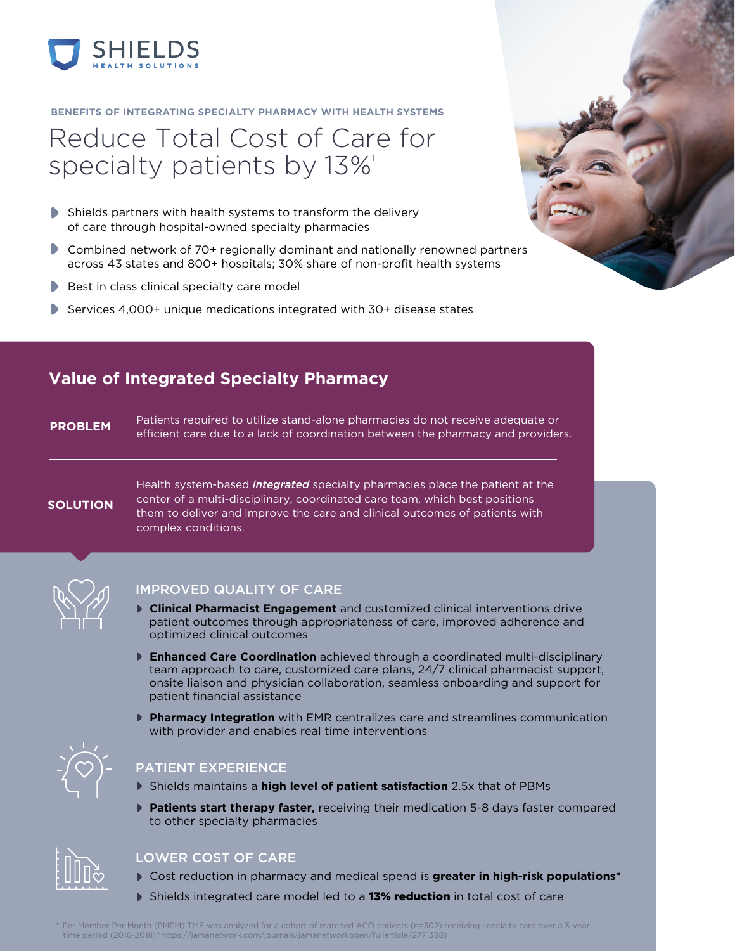

#### **BENEFITS OF INTEGRATING SPECIALTY PHARMACY WITH HEALTH SYSTEMS**

# Reduce Total Cost of Care for specialty patients by 13%<sup>1</sup>

- Shields partners with health systems to transform the delivery of care through hospital-owned specialty pharmacies
- Combined network of 70+ regionally dominant and nationally renowned partners across 43 states and 800+ hospitals; 30% share of non-profit health systems
- $\blacktriangleright$  Best in class clinical specialty care model
- Services 4,000+ unique medications integrated with 30+ disease states

# **Value of Integrated Specialty Pharmacy**

Patients required to utilize stand-alone pharmacies do not receive adequate or **PROBLEM** PRIST care to a lack of coordination between the pharmacy and providers.

#### **SOLUTION**

Health system-based *integrated* specialty pharmacies place the patient at the center of a multi-disciplinary, coordinated care team, which best positions them to deliver and improve the care and clinical outcomes of patients with complex conditions.



#### IMPROVED QUALITY OF CARE

- **Clinical Pharmacist Engagement** and customized clinical interventions drive patient outcomes through appropriateness of care, improved adherence and optimized clinical outcomes
- **Enhanced Care Coordination** achieved through a coordinated multi-disciplinary team approach to care, customized care plans, 24/7 clinical pharmacist support, onsite liaison and physician collaboration, seamless onboarding and support for patient financial assistance
- **Pharmacy Integration** with EMR centralizes care and streamlines communication with provider and enables real time interventions



## PATIENT EXPERIENCE

- Shields maintains a **high level of patient satisfaction** 2.5x that of PBMs
- **Patients start therapy faster,** receiving their medication 5-8 days faster compared to other specialty pharmacies



## LOWER COST OF CARE

- Cost reduction in pharmacy and medical spend is **greater in high-risk populations\***
- Shields integrated care model led to a 13% reduction in total cost of care

Per Member Per Month (PMPM) TME was analyzed for a cohort of matched ACO patients (n=302) receiving specialty care over a 3-year time period (2016-2018).1 https://jamanetwork.com/journals/jamanetworkopen/fullarticle/2771388)